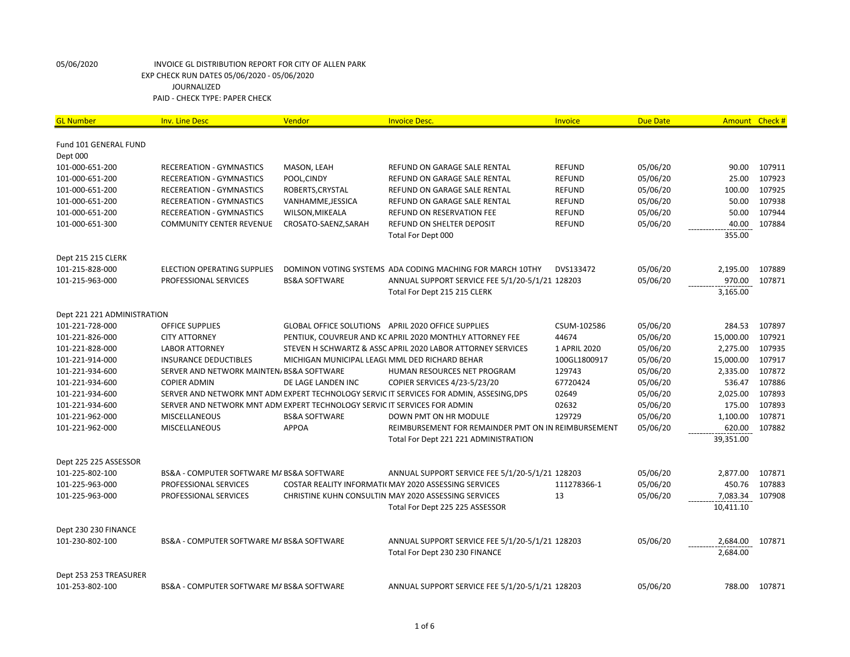| <b>GL Number</b>            | <b>Inv. Line Desc</b>                                                     | Vendor                                         | <b>Invoice Desc.</b>                                                                     | Invoice       | <b>Due Date</b> |           | Amount Check # |
|-----------------------------|---------------------------------------------------------------------------|------------------------------------------------|------------------------------------------------------------------------------------------|---------------|-----------------|-----------|----------------|
| Fund 101 GENERAL FUND       |                                                                           |                                                |                                                                                          |               |                 |           |                |
| Dept 000                    |                                                                           |                                                |                                                                                          |               |                 |           |                |
| 101-000-651-200             | RECEREATION - GYMNASTICS                                                  | MASON, LEAH                                    | REFUND ON GARAGE SALE RENTAL                                                             | <b>REFUND</b> | 05/06/20        | 90.00     | 107911         |
| 101-000-651-200             | <b>RECEREATION - GYMNASTICS</b>                                           | POOL, CINDY                                    | REFUND ON GARAGE SALE RENTAL                                                             | <b>REFUND</b> | 05/06/20        | 25.00     | 107923         |
| 101-000-651-200             | <b>RECEREATION - GYMNASTICS</b>                                           | ROBERTS, CRYSTAL                               | REFUND ON GARAGE SALE RENTAL                                                             | <b>REFUND</b> | 05/06/20        | 100.00    | 107925         |
| 101-000-651-200             | RECEREATION - GYMNASTICS                                                  | VANHAMME, JESSICA                              | REFUND ON GARAGE SALE RENTAL                                                             | <b>REFUND</b> | 05/06/20        | 50.00     | 107938         |
| 101-000-651-200             | <b>RECEREATION - GYMNASTICS</b>                                           | WILSON, MIKEALA                                | REFUND ON RESERVATION FEE                                                                | <b>REFUND</b> | 05/06/20        | 50.00     | 107944         |
| 101-000-651-300             | <b>COMMUNITY CENTER REVENUE</b>                                           | CROSATO-SAENZ, SARAH                           | REFUND ON SHELTER DEPOSIT                                                                | <b>REFUND</b> | 05/06/20        | 40.00     | 107884         |
|                             |                                                                           |                                                | Total For Dept 000                                                                       |               |                 | 355.00    |                |
| Dept 215 215 CLERK          |                                                                           |                                                |                                                                                          |               |                 |           |                |
| 101-215-828-000             | <b>ELECTION OPERATING SUPPLIES</b>                                        |                                                | DOMINON VOTING SYSTEMS ADA CODING MACHING FOR MARCH 10THY                                | DVS133472     | 05/06/20        | 2,195.00  | 107889         |
| 101-215-963-000             | PROFESSIONAL SERVICES                                                     | <b>BS&amp;A SOFTWARE</b>                       | ANNUAL SUPPORT SERVICE FEE 5/1/20-5/1/21 128203                                          |               | 05/06/20        | 970.00    | 107871         |
|                             |                                                                           |                                                | Total For Dept 215 215 CLERK                                                             |               |                 | 3,165.00  |                |
| Dept 221 221 ADMINISTRATION |                                                                           |                                                |                                                                                          |               |                 |           |                |
| 101-221-728-000             | <b>OFFICE SUPPLIES</b>                                                    |                                                | GLOBAL OFFICE SOLUTIONS APRIL 2020 OFFICE SUPPLIES                                       | CSUM-102586   | 05/06/20        | 284.53    | 107897         |
| 101-221-826-000             | <b>CITY ATTORNEY</b>                                                      |                                                | PENTIUK. COUVREUR AND KC APRIL 2020 MONTHLY ATTORNEY FEE                                 | 44674         | 05/06/20        | 15,000.00 | 107921         |
| 101-221-828-000             | <b>LABOR ATTORNEY</b>                                                     |                                                | STEVEN H SCHWARTZ & ASSC APRIL 2020 LABOR ATTORNEY SERVICES                              | 1 APRIL 2020  | 05/06/20        | 2,275.00  | 107935         |
| 101-221-914-000             | <b>INSURANCE DEDUCTIBLES</b>                                              | MICHIGAN MUNICIPAL LEAGL MML DED RICHARD BEHAR |                                                                                          | 100GL1800917  | 05/06/20        | 15,000.00 | 107917         |
| 101-221-934-600             | SERVER AND NETWORK MAINTEN/ BS&A SOFTWARE                                 |                                                | HUMAN RESOURCES NET PROGRAM                                                              | 129743        | 05/06/20        | 2,335.00  | 107872         |
| 101-221-934-600             | <b>COPIER ADMIN</b>                                                       | DE LAGE LANDEN INC                             | COPIER SERVICES 4/23-5/23/20                                                             | 67720424      | 05/06/20        | 536.47    | 107886         |
| 101-221-934-600             |                                                                           |                                                | SERVER AND NETWORK MNT ADM EXPERT TECHNOLOGY SERVIC IT SERVICES FOR ADMIN, ASSESING, DPS | 02649         | 05/06/20        | 2,025.00  | 107893         |
| 101-221-934-600             | SERVER AND NETWORK MNT ADM EXPERT TECHNOLOGY SERVIC IT SERVICES FOR ADMIN |                                                |                                                                                          | 02632         | 05/06/20        | 175.00    | 107893         |
| 101-221-962-000             | <b>MISCELLANEOUS</b>                                                      | <b>BS&amp;A SOFTWARE</b>                       | DOWN PMT ON HR MODULE                                                                    | 129729        | 05/06/20        | 1,100.00  | 107871         |
| 101-221-962-000             | MISCELLANEOUS                                                             | <b>APPOA</b>                                   | REIMBURSEMENT FOR REMAINDER PMT ON IN REIMBURSEMENT                                      |               | 05/06/20        | 620.00    | 107882         |
|                             |                                                                           |                                                | Total For Dept 221 221 ADMINISTRATION                                                    |               |                 | 39,351.00 |                |
| Dept 225 225 ASSESSOR       |                                                                           |                                                |                                                                                          |               |                 |           |                |
| 101-225-802-100             | BS&A - COMPUTER SOFTWARE M/ BS&A SOFTWARE                                 |                                                | ANNUAL SUPPORT SERVICE FEE 5/1/20-5/1/21 128203                                          |               | 05/06/20        | 2,877.00  | 107871         |
| 101-225-963-000             | PROFESSIONAL SERVICES                                                     |                                                | COSTAR REALITY INFORMATI(MAY 2020 ASSESSING SERVICES                                     | 111278366-1   | 05/06/20        | 450.76    | 107883         |
| 101-225-963-000             | PROFESSIONAL SERVICES                                                     |                                                | CHRISTINE KUHN CONSULTIN MAY 2020 ASSESSING SERVICES                                     | 13            | 05/06/20        | 7,083.34  | 107908         |
|                             |                                                                           |                                                | Total For Dept 225 225 ASSESSOR                                                          |               |                 | 10,411.10 |                |
| Dept 230 230 FINANCE        |                                                                           |                                                |                                                                                          |               |                 |           |                |
| 101-230-802-100             | BS&A - COMPUTER SOFTWARE M/ BS&A SOFTWARE                                 |                                                | ANNUAL SUPPORT SERVICE FEE 5/1/20-5/1/21 128203                                          |               | 05/06/20        | 2,684.00  | 107871         |
|                             |                                                                           |                                                | Total For Dept 230 230 FINANCE                                                           |               |                 | 2,684.00  |                |
| Dept 253 253 TREASURER      |                                                                           |                                                |                                                                                          |               |                 |           |                |
| 101-253-802-100             | BS&A - COMPUTER SOFTWARE M/ BS&A SOFTWARE                                 |                                                | ANNUAL SUPPORT SERVICE FEE 5/1/20-5/1/21 128203                                          |               | 05/06/20        | 788.00    | 107871         |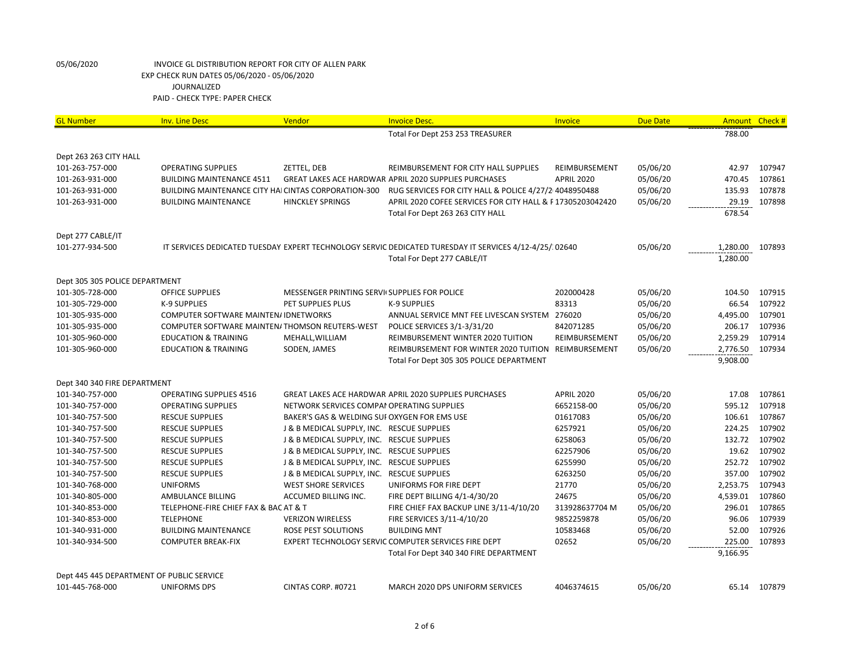| <b>GL Number</b>                          | <b>Inv. Line Desc</b>                                       | Vendor                                        | <b>Invoice Desc.</b>                                                                                   | Invoice           | <b>Due Date</b> |          | Amount Check # |
|-------------------------------------------|-------------------------------------------------------------|-----------------------------------------------|--------------------------------------------------------------------------------------------------------|-------------------|-----------------|----------|----------------|
|                                           |                                                             |                                               | Total For Dept 253 253 TREASURER                                                                       |                   |                 | 788.00   |                |
| Dept 263 263 CITY HALL                    |                                                             |                                               |                                                                                                        |                   |                 |          |                |
| 101-263-757-000                           | <b>OPERATING SUPPLIES</b>                                   | ZETTEL, DEB                                   | REIMBURSEMENT FOR CITY HALL SUPPLIES                                                                   | REIMBURSEMENT     | 05/06/20        | 42.97    | 107947         |
| 101-263-931-000                           | <b>BUILDING MAINTENANCE 4511</b>                            |                                               | GREAT LAKES ACE HARDWAR APRIL 2020 SUPPLIES PURCHASES                                                  | <b>APRIL 2020</b> | 05/06/20        | 470.45   | 107861         |
| 101-263-931-000                           | <b>BUILDING MAINTENANCE CITY HAI CINTAS CORPORATION-300</b> |                                               | RUG SERVICES FOR CITY HALL & POLICE 4/27/2 4048950488                                                  |                   | 05/06/20        | 135.93   | 107878         |
| 101-263-931-000                           | <b>BUILDING MAINTENANCE</b>                                 | <b>HINCKLEY SPRINGS</b>                       | APRIL 2020 COFEE SERVICES FOR CITY HALL & F17305203042420                                              |                   | 05/06/20        | 29.19    | 107898         |
|                                           |                                                             |                                               | Total For Dept 263 263 CITY HALL                                                                       |                   |                 | 678.54   |                |
| Dept 277 CABLE/IT                         |                                                             |                                               |                                                                                                        |                   |                 |          |                |
| 101-277-934-500                           |                                                             |                                               | IT SERVICES DEDICATED TUESDAY EXPERT TECHNOLOGY SERVIC DEDICATED TURESDAY IT SERVICES 4/12-4/25/302640 |                   | 05/06/20        | 1,280.00 | 107893         |
|                                           |                                                             |                                               | Total For Dept 277 CABLE/IT                                                                            |                   |                 | 1,280.00 |                |
| Dept 305 305 POLICE DEPARTMENT            |                                                             |                                               |                                                                                                        |                   |                 |          |                |
| 101-305-728-000                           | OFFICE SUPPLIES                                             | MESSENGER PRINTING SERVII SUPPLIES FOR POLICE |                                                                                                        | 202000428         | 05/06/20        | 104.50   | 107915         |
| 101-305-729-000                           | <b>K-9 SUPPLIES</b>                                         | PET SUPPLIES PLUS                             | K-9 SUPPLIES                                                                                           | 83313             | 05/06/20        | 66.54    | 107922         |
| 101-305-935-000                           | <b>COMPUTER SOFTWARE MAINTEN/IDNETWORKS</b>                 |                                               | ANNUAL SERVICE MNT FEE LIVESCAN SYSTEM 276020                                                          |                   | 05/06/20        | 4,495.00 | 107901         |
| 101-305-935-000                           | COMPUTER SOFTWARE MAINTEN/THOMSON REUTERS-WEST              |                                               | POLICE SERVICES 3/1-3/31/20                                                                            | 842071285         | 05/06/20        | 206.17   | 107936         |
| 101-305-960-000                           | <b>EDUCATION &amp; TRAINING</b>                             | MEHALL, WILLIAM                               | REIMBURSEMENT WINTER 2020 TUITION                                                                      | REIMBURSEMENT     | 05/06/20        | 2,259.29 | 107914         |
| 101-305-960-000                           | <b>EDUCATION &amp; TRAINING</b>                             | SODEN, JAMES                                  | REIMBURSEMENT FOR WINTER 2020 TUITION REIMBURSEMENT                                                    |                   | 05/06/20        | 2,776.50 | 107934         |
|                                           |                                                             |                                               | Total For Dept 305 305 POLICE DEPARTMENT                                                               |                   |                 | 9,908.00 |                |
| Dept 340 340 FIRE DEPARTMENT              |                                                             |                                               |                                                                                                        |                   |                 |          |                |
| 101-340-757-000                           | <b>OPERATING SUPPLIES 4516</b>                              |                                               | <b>GREAT LAKES ACE HARDWAR APRIL 2020 SUPPLIES PURCHASES</b>                                           | <b>APRIL 2020</b> | 05/06/20        | 17.08    | 107861         |
| 101-340-757-000                           | <b>OPERATING SUPPLIES</b>                                   | NETWORK SERVICES COMPAI OPERATING SUPPLIES    |                                                                                                        | 6652158-00        | 05/06/20        | 595.12   | 107918         |
| 101-340-757-500                           | <b>RESCUE SUPPLIES</b>                                      | BAKER'S GAS & WELDING SUI OXYGEN FOR EMS USE  |                                                                                                        | 01617083          | 05/06/20        | 106.61   | 107867         |
| 101-340-757-500                           | <b>RESCUE SUPPLIES</b>                                      | J & B MEDICAL SUPPLY, INC. RESCUE SUPPLIES    |                                                                                                        | 6257921           | 05/06/20        | 224.25   | 107902         |
| 101-340-757-500                           | <b>RESCUE SUPPLIES</b>                                      | J & B MEDICAL SUPPLY, INC. RESCUE SUPPLIES    |                                                                                                        | 6258063           | 05/06/20        | 132.72   | 107902         |
| 101-340-757-500                           | <b>RESCUE SUPPLIES</b>                                      | J & B MEDICAL SUPPLY, INC. RESCUE SUPPLIES    |                                                                                                        | 62257906          | 05/06/20        | 19.62    | 107902         |
| 101-340-757-500                           | <b>RESCUE SUPPLIES</b>                                      | J & B MEDICAL SUPPLY, INC. RESCUE SUPPLIES    |                                                                                                        | 6255990           | 05/06/20        | 252.72   | 107902         |
| 101-340-757-500                           | <b>RESCUE SUPPLIES</b>                                      | J & B MEDICAL SUPPLY, INC. RESCUE SUPPLIES    |                                                                                                        | 6263250           | 05/06/20        | 357.00   | 107902         |
| 101-340-768-000                           | <b>UNIFORMS</b>                                             | <b>WEST SHORE SERVICES</b>                    | UNIFORMS FOR FIRE DEPT                                                                                 | 21770             | 05/06/20        | 2,253.75 | 107943         |
| 101-340-805-000                           | AMBULANCE BILLING                                           | ACCUMED BILLING INC.                          | FIRE DEPT BILLING 4/1-4/30/20                                                                          | 24675             | 05/06/20        | 4,539.01 | 107860         |
| 101-340-853-000                           | TELEPHONE-FIRE CHIEF FAX & BAC AT & T                       |                                               | FIRE CHIEF FAX BACKUP LINE 3/11-4/10/20                                                                | 313928637704 M    | 05/06/20        | 296.01   | 107865         |
| 101-340-853-000                           | <b>TELEPHONE</b>                                            | <b>VERIZON WIRELESS</b>                       | FIRE SERVICES 3/11-4/10/20                                                                             | 9852259878        | 05/06/20        | 96.06    | 107939         |
| 101-340-931-000                           | <b>BUILDING MAINTENANCE</b>                                 | ROSE PEST SOLUTIONS                           | <b>BUILDING MNT</b>                                                                                    | 10583468          | 05/06/20        | 52.00    | 107926         |
| 101-340-934-500                           | <b>COMPUTER BREAK-FIX</b>                                   |                                               | EXPERT TECHNOLOGY SERVIC COMPUTER SERVICES FIRE DEPT                                                   | 02652             | 05/06/20        | 225.00   | 107893         |
|                                           |                                                             |                                               | Total For Dept 340 340 FIRE DEPARTMENT                                                                 |                   |                 | 9,166.95 |                |
| Dept 445 445 DEPARTMENT OF PUBLIC SERVICE |                                                             |                                               |                                                                                                        |                   |                 |          |                |
| 101-445-768-000                           | <b>UNIFORMS DPS</b>                                         | CINTAS CORP. #0721                            | MARCH 2020 DPS UNIFORM SERVICES                                                                        | 4046374615        | 05/06/20        |          | 65.14 107879   |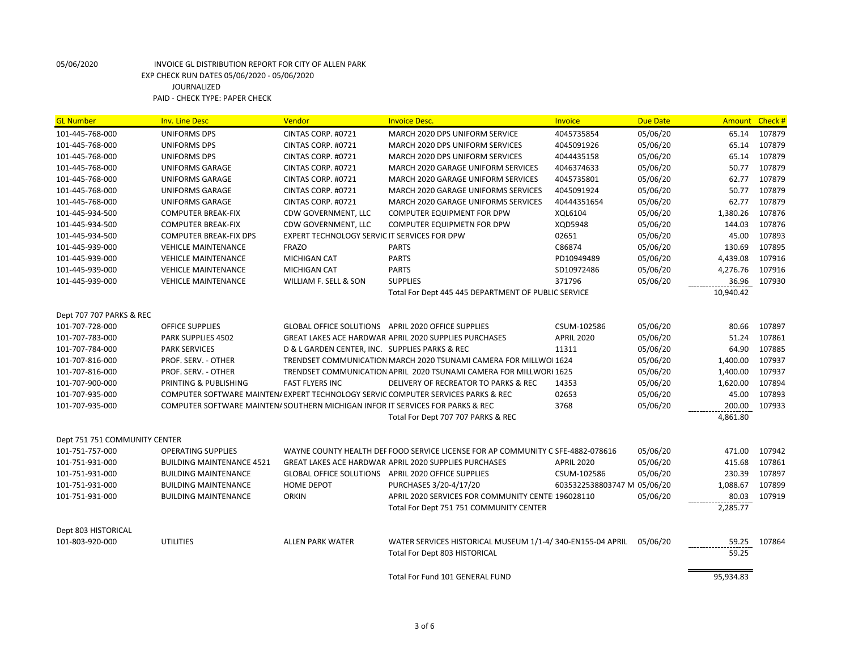| <b>GL Number</b>              | <b>Inv. Line Desc</b>                                                         | Vendor                                         | <b>Invoice Desc.</b>                                                              | <b>Invoice</b>              | <b>Due Date</b> | <b>Amount</b> | Check# |
|-------------------------------|-------------------------------------------------------------------------------|------------------------------------------------|-----------------------------------------------------------------------------------|-----------------------------|-----------------|---------------|--------|
| 101-445-768-000               | <b>UNIFORMS DPS</b>                                                           | CINTAS CORP. #0721                             | MARCH 2020 DPS UNIFORM SERVICE                                                    | 4045735854                  | 05/06/20        | 65.14         | 107879 |
| 101-445-768-000               | UNIFORMS DPS                                                                  | CINTAS CORP. #0721                             | MARCH 2020 DPS UNIFORM SERVICES                                                   | 4045091926                  | 05/06/20        | 65.14         | 107879 |
| 101-445-768-000               | <b>UNIFORMS DPS</b>                                                           | CINTAS CORP. #0721                             | MARCH 2020 DPS UNIFORM SERVICES                                                   | 4044435158                  | 05/06/20        | 65.14         | 107879 |
| 101-445-768-000               | <b>UNIFORMS GARAGE</b>                                                        | CINTAS CORP. #0721                             | MARCH 2020 GARAGE UNIFORM SERVICES                                                | 4046374633                  | 05/06/20        | 50.77         | 107879 |
| 101-445-768-000               | <b>UNIFORMS GARAGE</b>                                                        | CINTAS CORP. #0721                             | MARCH 2020 GARAGE UNIFORM SERVICES                                                | 4045735801                  | 05/06/20        | 62.77         | 107879 |
| 101-445-768-000               | <b>UNIFORMS GARAGE</b>                                                        | CINTAS CORP. #0721                             | MARCH 2020 GARAGE UNIFORMS SERVICES                                               | 4045091924                  | 05/06/20        | 50.77         | 107879 |
| 101-445-768-000               | <b>UNIFORMS GARAGE</b>                                                        | CINTAS CORP. #0721                             | MARCH 2020 GARAGE UNIFORMS SERVICES                                               | 40444351654                 | 05/06/20        | 62.77         | 107879 |
| 101-445-934-500               | <b>COMPUTER BREAK-FIX</b>                                                     | CDW GOVERNMENT, LLC                            | COMPUTER EQUIPMENT FOR DPW                                                        | XQL6104                     | 05/06/20        | 1,380.26      | 107876 |
| 101-445-934-500               | <b>COMPUTER BREAK-FIX</b>                                                     | CDW GOVERNMENT, LLC                            | COMPUTER EQUIPMETN FOR DPW                                                        | XQD5948                     | 05/06/20        | 144.03        | 107876 |
| 101-445-934-500               | <b>COMPUTER BREAK-FIX DPS</b>                                                 | EXPERT TECHNOLOGY SERVIC IT SERVICES FOR DPW   |                                                                                   | 02651                       | 05/06/20        | 45.00         | 107893 |
| 101-445-939-000               | <b>VEHICLE MAINTENANCE</b>                                                    | <b>FRAZO</b>                                   | <b>PARTS</b>                                                                      | C86874                      | 05/06/20        | 130.69        | 107895 |
| 101-445-939-000               | <b>VEHICLE MAINTENANCE</b>                                                    | MICHIGAN CAT                                   | <b>PARTS</b>                                                                      | PD10949489                  | 05/06/20        | 4,439.08      | 107916 |
| 101-445-939-000               | <b>VEHICLE MAINTENANCE</b>                                                    | <b>MICHIGAN CAT</b>                            | <b>PARTS</b>                                                                      | SD10972486                  | 05/06/20        | 4,276.76      | 107916 |
| 101-445-939-000               | <b>VEHICLE MAINTENANCE</b>                                                    | WILLIAM F. SELL & SON                          | <b>SUPPLIES</b>                                                                   | 371796                      | 05/06/20        | 36.96         | 107930 |
|                               |                                                                               |                                                | Total For Dept 445 445 DEPARTMENT OF PUBLIC SERVICE                               |                             |                 | 10,940.42     |        |
| Dept 707 707 PARKS & REC      |                                                                               |                                                |                                                                                   |                             |                 |               |        |
| 101-707-728-000               | <b>OFFICE SUPPLIES</b>                                                        |                                                | GLOBAL OFFICE SOLUTIONS APRIL 2020 OFFICE SUPPLIES                                | CSUM-102586                 | 05/06/20        | 80.66         | 107897 |
| 101-707-783-000               | <b>PARK SUPPLIES 4502</b>                                                     |                                                | <b>GREAT LAKES ACE HARDWAR APRIL 2020 SUPPLIES PURCHASES</b>                      | <b>APRIL 2020</b>           | 05/06/20        | 51.24         | 107861 |
| 101-707-784-000               | <b>PARK SERVICES</b>                                                          | D & L GARDEN CENTER, INC. SUPPLIES PARKS & REC |                                                                                   | 11311                       | 05/06/20        | 64.90         | 107885 |
| 101-707-816-000               | PROF. SERV. - OTHER                                                           |                                                | TRENDSET COMMUNICATION MARCH 2020 TSUNAMI CAMERA FOR MILLWOI 1624                 |                             | 05/06/20        | 1,400.00      | 107937 |
| 101-707-816-000               | PROF. SERV. - OTHER                                                           |                                                | TRENDSET COMMUNICATION APRIL 2020 TSUNAMI CAMERA FOR MILLWORI 1625                |                             | 05/06/20        | 1,400.00      | 107937 |
| 101-707-900-000               | PRINTING & PUBLISHING                                                         | <b>FAST FLYERS INC</b>                         | DELIVERY OF RECREATOR TO PARKS & REC                                              | 14353                       | 05/06/20        | 1,620.00      | 107894 |
| 101-707-935-000               |                                                                               |                                                | COMPUTER SOFTWARE MAINTEN/ EXPERT TECHNOLOGY SERVIC COMPUTER SERVICES PARKS & REC | 02653                       | 05/06/20        | 45.00         | 107893 |
| 101-707-935-000               | COMPUTER SOFTWARE MAINTEN/SOUTHERN MICHIGAN INFOR IT SERVICES FOR PARKS & REC |                                                |                                                                                   | 3768                        | 05/06/20        | 200.00        | 107933 |
|                               |                                                                               |                                                | Total For Dept 707 707 PARKS & REC                                                |                             |                 | 4,861.80      |        |
| Dept 751 751 COMMUNITY CENTER |                                                                               |                                                |                                                                                   |                             |                 |               |        |
| 101-751-757-000               | <b>OPERATING SUPPLIES</b>                                                     |                                                | WAYNE COUNTY HEALTH DEF FOOD SERVICE LICENSE FOR AP COMMUNITY C SFE-4882-078616   |                             | 05/06/20        | 471.00        | 107942 |
| 101-751-931-000               | <b>BUILDING MAINTENANCE 4521</b>                                              |                                                | <b>GREAT LAKES ACE HARDWAR APRIL 2020 SUPPLIES PURCHASES</b>                      | <b>APRIL 2020</b>           | 05/06/20        | 415.68        | 107861 |
| 101-751-931-000               | <b>BUILDING MAINTENANCE</b>                                                   |                                                | GLOBAL OFFICE SOLUTIONS APRIL 2020 OFFICE SUPPLIES                                | CSUM-102586                 | 05/06/20        | 230.39        | 107897 |
| 101-751-931-000               | <b>BUILDING MAINTENANCE</b>                                                   | <b>HOME DEPOT</b>                              | PURCHASES 3/20-4/17/20                                                            | 6035322538803747 M 05/06/20 |                 | 1,088.67      | 107899 |
| 101-751-931-000               | <b>BUILDING MAINTENANCE</b>                                                   | <b>ORKIN</b>                                   | APRIL 2020 SERVICES FOR COMMUNITY CENTE 196028110                                 |                             | 05/06/20        | 80.03         | 107919 |
|                               |                                                                               |                                                | Total For Dept 751 751 COMMUNITY CENTER                                           |                             |                 | 2,285.77      |        |
| Dept 803 HISTORICAL           |                                                                               |                                                |                                                                                   |                             |                 |               |        |
| 101-803-920-000               | <b>UTILITIES</b>                                                              | <b>ALLEN PARK WATER</b>                        | WATER SERVICES HISTORICAL MUSEUM 1/1-4/ 340-EN155-04 APRIL                        |                             | 05/06/20        | 59.25         | 107864 |
|                               |                                                                               |                                                | Total For Dept 803 HISTORICAL                                                     |                             |                 | 59.25         |        |
|                               |                                                                               |                                                | Total For Fund 101 GENERAL FUND                                                   |                             |                 | 95,934.83     |        |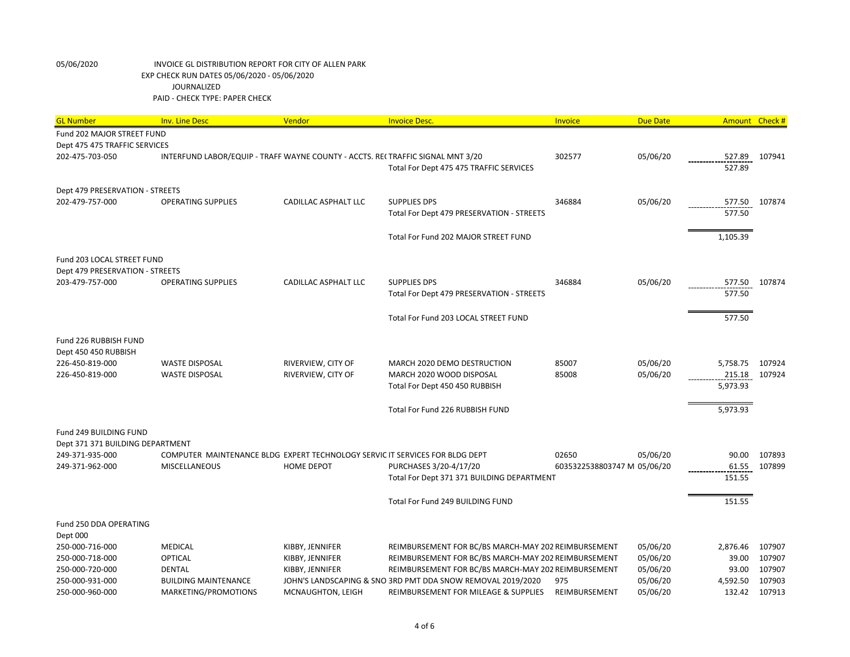| <b>GL Number</b>                   | <b>Inv. Line Desc</b>                                                           | Vendor               | <b>Invoice Desc.</b>                                        | Invoice                     | <b>Due Date</b> | Amount Check # |        |
|------------------------------------|---------------------------------------------------------------------------------|----------------------|-------------------------------------------------------------|-----------------------------|-----------------|----------------|--------|
| Fund 202 MAJOR STREET FUND         |                                                                                 |                      |                                                             |                             |                 |                |        |
| Dept 475 475 TRAFFIC SERVICES      |                                                                                 |                      |                                                             |                             |                 |                |        |
| 202-475-703-050                    | INTERFUND LABOR/EQUIP - TRAFF WAYNE COUNTY - ACCTS. REI TRAFFIC SIGNAL MNT 3/20 |                      |                                                             | 302577                      | 05/06/20        | 527.89         | 107941 |
|                                    |                                                                                 |                      | Total For Dept 475 475 TRAFFIC SERVICES                     |                             |                 | 527.89         |        |
|                                    |                                                                                 |                      |                                                             |                             |                 |                |        |
| Dept 479 PRESERVATION - STREETS    |                                                                                 |                      |                                                             |                             |                 |                |        |
| 202-479-757-000                    | <b>OPERATING SUPPLIES</b>                                                       | CADILLAC ASPHALT LLC | <b>SUPPLIES DPS</b>                                         | 346884                      | 05/06/20        | 577.50         | 107874 |
|                                    |                                                                                 |                      | Total For Dept 479 PRESERVATION - STREETS                   |                             |                 | 577.50         |        |
|                                    |                                                                                 |                      |                                                             |                             |                 |                |        |
|                                    |                                                                                 |                      | Total For Fund 202 MAJOR STREET FUND                        |                             |                 | 1,105.39       |        |
| Fund 203 LOCAL STREET FUND         |                                                                                 |                      |                                                             |                             |                 |                |        |
| Dept 479 PRESERVATION - STREETS    |                                                                                 |                      |                                                             |                             |                 |                |        |
| 203-479-757-000                    | <b>OPERATING SUPPLIES</b>                                                       | CADILLAC ASPHALT LLC | <b>SUPPLIES DPS</b>                                         | 346884                      | 05/06/20        | 577.50         | 107874 |
|                                    |                                                                                 |                      | Total For Dept 479 PRESERVATION - STREETS                   |                             |                 | 577.50         |        |
|                                    |                                                                                 |                      |                                                             |                             |                 |                |        |
|                                    |                                                                                 |                      | Total For Fund 203 LOCAL STREET FUND                        |                             |                 | 577.50         |        |
|                                    |                                                                                 |                      |                                                             |                             |                 |                |        |
| Fund 226 RUBBISH FUND              |                                                                                 |                      |                                                             |                             |                 |                |        |
| Dept 450 450 RUBBISH               |                                                                                 |                      |                                                             |                             |                 |                |        |
| 226-450-819-000                    | <b>WASTE DISPOSAL</b>                                                           | RIVERVIEW, CITY OF   | MARCH 2020 DEMO DESTRUCTION                                 | 85007                       | 05/06/20        | 5,758.75       | 107924 |
| 226-450-819-000                    | <b>WASTE DISPOSAL</b>                                                           | RIVERVIEW, CITY OF   | MARCH 2020 WOOD DISPOSAL                                    | 85008                       | 05/06/20        | 215.18         | 107924 |
|                                    |                                                                                 |                      | Total For Dept 450 450 RUBBISH                              |                             |                 | 5,973.93       |        |
|                                    |                                                                                 |                      |                                                             |                             |                 |                |        |
|                                    |                                                                                 |                      | Total For Fund 226 RUBBISH FUND                             |                             |                 | 5,973.93       |        |
|                                    |                                                                                 |                      |                                                             |                             |                 |                |        |
| Fund 249 BUILDING FUND             |                                                                                 |                      |                                                             |                             |                 |                |        |
| Dept 371 371 BUILDING DEPARTMENT   |                                                                                 |                      |                                                             |                             |                 |                |        |
| 249-371-935-000                    | COMPUTER MAINTENANCE BLDG EXPERT TECHNOLOGY SERVIC IT SERVICES FOR BLDG DEPT    |                      |                                                             | 02650                       | 05/06/20        | 90.00          | 107893 |
| 249-371-962-000                    | <b>MISCELLANEOUS</b>                                                            | <b>HOME DEPOT</b>    | PURCHASES 3/20-4/17/20                                      | 6035322538803747 M 05/06/20 |                 | 61.55          | 107899 |
|                                    |                                                                                 |                      | Total For Dept 371 371 BUILDING DEPARTMENT                  |                             |                 | 151.55         |        |
|                                    |                                                                                 |                      |                                                             |                             |                 |                |        |
|                                    |                                                                                 |                      | Total For Fund 249 BUILDING FUND                            |                             |                 | 151.55         |        |
|                                    |                                                                                 |                      |                                                             |                             |                 |                |        |
| Fund 250 DDA OPERATING<br>Dept 000 |                                                                                 |                      |                                                             |                             |                 |                |        |
| 250-000-716-000                    | <b>MEDICAL</b>                                                                  | KIBBY, JENNIFER      | REIMBURSEMENT FOR BC/BS MARCH-MAY 202 REIMBURSEMENT         |                             | 05/06/20        | 2,876.46       | 107907 |
| 250-000-718-000                    | OPTICAL                                                                         | KIBBY, JENNIFER      | REIMBURSEMENT FOR BC/BS MARCH-MAY 202 REIMBURSEMENT         |                             | 05/06/20        | 39.00          | 107907 |
| 250-000-720-000                    | <b>DENTAL</b>                                                                   | KIBBY, JENNIFER      | REIMBURSEMENT FOR BC/BS MARCH-MAY 202 REIMBURSEMENT         |                             | 05/06/20        | 93.00          | 107907 |
| 250-000-931-000                    | <b>BUILDING MAINTENANCE</b>                                                     |                      | JOHN'S LANDSCAPING & SNO 3RD PMT DDA SNOW REMOVAL 2019/2020 | 975                         | 05/06/20        | 4,592.50       | 107903 |
| 250-000-960-000                    | MARKETING/PROMOTIONS                                                            | MCNAUGHTON, LEIGH    | REIMBURSEMENT FOR MILEAGE & SUPPLIES                        | REIMBURSEMENT               | 05/06/20        | 132.42         | 107913 |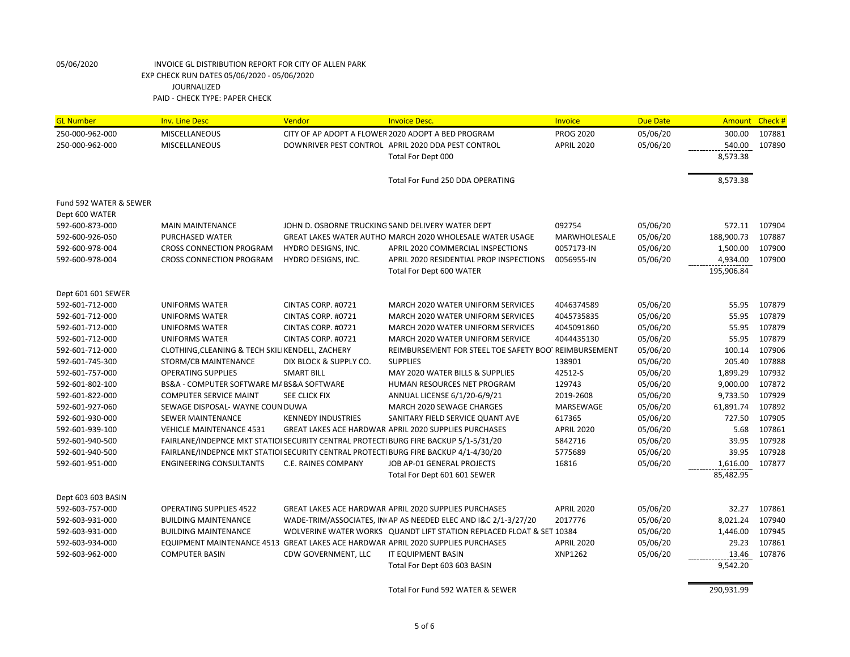| <b>GL Number</b>       | <b>Inv. Line Desc</b>                                                                | Vendor                     | <b>Invoice Desc.</b>                                                             | Invoice           | <b>Due Date</b> |            | Amount Check # |
|------------------------|--------------------------------------------------------------------------------------|----------------------------|----------------------------------------------------------------------------------|-------------------|-----------------|------------|----------------|
| 250-000-962-000        | <b>MISCELLANEOUS</b>                                                                 |                            | CITY OF AP ADOPT A FLOWER 2020 ADOPT A BED PROGRAM                               | <b>PROG 2020</b>  | 05/06/20        | 300.00     | 107881         |
| 250-000-962-000        | MISCELLANEOUS                                                                        |                            | DOWNRIVER PEST CONTROL APRIL 2020 DDA PEST CONTROL                               | <b>APRIL 2020</b> | 05/06/20        | 540.00     | 107890         |
|                        |                                                                                      |                            | Total For Dept 000                                                               |                   |                 | 8,573.38   |                |
|                        |                                                                                      |                            |                                                                                  |                   |                 |            |                |
|                        |                                                                                      |                            | Total For Fund 250 DDA OPERATING                                                 |                   |                 | 8,573.38   |                |
| Fund 592 WATER & SEWER |                                                                                      |                            |                                                                                  |                   |                 |            |                |
| Dept 600 WATER         |                                                                                      |                            |                                                                                  |                   |                 |            |                |
| 592-600-873-000        | <b>MAIN MAINTENANCE</b>                                                              |                            | JOHN D. OSBORNE TRUCKING SAND DELIVERY WATER DEPT                                | 092754            | 05/06/20        | 572.11     | 107904         |
| 592-600-926-050        | PURCHASED WATER                                                                      |                            | GREAT LAKES WATER AUTHO MARCH 2020 WHOLESALE WATER USAGE                         | MARWHOLESALE      | 05/06/20        | 188,900.73 | 107887         |
| 592-600-978-004        | <b>CROSS CONNECTION PROGRAM</b>                                                      | HYDRO DESIGNS, INC.        | APRIL 2020 COMMERCIAL INSPECTIONS                                                | 0057173-IN        | 05/06/20        | 1,500.00   | 107900         |
| 592-600-978-004        | CROSS CONNECTION PROGRAM                                                             | HYDRO DESIGNS, INC.        | APRIL 2020 RESIDENTIAL PROP INSPECTIONS                                          | 0056955-IN        | 05/06/20        | 4,934.00   | 107900         |
|                        |                                                                                      |                            | <b>Total For Dept 600 WATER</b>                                                  |                   |                 | 195,906.84 |                |
| Dept 601 601 SEWER     |                                                                                      |                            |                                                                                  |                   |                 |            |                |
| 592-601-712-000        | <b>UNIFORMS WATER</b>                                                                | CINTAS CORP. #0721         | MARCH 2020 WATER UNIFORM SERVICES                                                | 4046374589        | 05/06/20        | 55.95      | 107879         |
| 592-601-712-000        | <b>UNIFORMS WATER</b>                                                                | CINTAS CORP. #0721         | MARCH 2020 WATER UNIFORM SERVICES                                                | 4045735835        | 05/06/20        | 55.95      | 107879         |
| 592-601-712-000        | <b>UNIFORMS WATER</b>                                                                | CINTAS CORP. #0721         | MARCH 2020 WATER UNIFORM SERVICES                                                | 4045091860        | 05/06/20        | 55.95      | 107879         |
| 592-601-712-000        | <b>UNIFORMS WATER</b>                                                                | CINTAS CORP. #0721         | MARCH 2020 WATER UNIFORM SERVICE                                                 | 4044435130        | 05/06/20        | 55.95      | 107879         |
| 592-601-712-000        | CLOTHING, CLEANING & TECH SKILI KENDELL, ZACHERY                                     |                            | REIMBURSEMENT FOR STEEL TOE SAFETY BOOTREIMBURSEMENT                             |                   | 05/06/20        | 100.14     | 107906         |
| 592-601-745-300        | STORM/CB MAINTENANCE                                                                 | DIX BLOCK & SUPPLY CO.     | <b>SUPPLIES</b>                                                                  | 138901            | 05/06/20        | 205.40     | 107888         |
| 592-601-757-000        | <b>OPERATING SUPPLIES</b>                                                            | <b>SMART BILL</b>          | MAY 2020 WATER BILLS & SUPPLIES                                                  | 42512-S           | 05/06/20        | 1,899.29   | 107932         |
| 592-601-802-100        | BS&A - COMPUTER SOFTWARE M/ BS&A SOFTWARE                                            |                            | HUMAN RESOURCES NET PROGRAM                                                      | 129743            | 05/06/20        | 9,000.00   | 107872         |
| 592-601-822-000        | <b>COMPUTER SERVICE MAINT</b>                                                        | SEE CLICK FIX              | ANNUAL LICENSE 6/1/20-6/9/21                                                     | 2019-2608         | 05/06/20        | 9,733.50   | 107929         |
| 592-601-927-060        | SEWAGE DISPOSAL- WAYNE COUN DUWA                                                     |                            | MARCH 2020 SEWAGE CHARGES                                                        | MARSEWAGE         | 05/06/20        | 61,891.74  | 107892         |
| 592-601-930-000        | SEWER MAINTENANCE                                                                    | <b>KENNEDY INDUSTRIES</b>  | SANITARY FIELD SERVICE QUANT AVE                                                 | 617365            | 05/06/20        | 727.50     | 107905         |
| 592-601-939-100        | <b>VEHICLE MAINTENANCE 4531</b>                                                      |                            | GREAT LAKES ACE HARDWAR APRIL 2020 SUPPLIES PURCHASES                            | <b>APRIL 2020</b> | 05/06/20        | 5.68       | 107861         |
| 592-601-940-500        | FAIRLANE/INDEPNCE MKT STATIOI SECURITY CENTRAL PROTECTI BURG FIRE BACKUP 5/1-5/31/20 |                            |                                                                                  | 5842716           | 05/06/20        | 39.95      | 107928         |
| 592-601-940-500        | FAIRLANE/INDEPNCE MKT STATIOI SECURITY CENTRAL PROTECTI BURG FIRE BACKUP 4/1-4/30/20 |                            |                                                                                  | 5775689           | 05/06/20        | 39.95      | 107928         |
| 592-601-951-000        | <b>ENGINEERING CONSULTANTS</b>                                                       | <b>C.E. RAINES COMPANY</b> | JOB AP-01 GENERAL PROJECTS                                                       | 16816             | 05/06/20        | 1,616.00   | 107877         |
|                        |                                                                                      |                            | Total For Dept 601 601 SEWER                                                     |                   |                 | 85,482.95  |                |
| Dept 603 603 BASIN     |                                                                                      |                            |                                                                                  |                   |                 |            |                |
| 592-603-757-000        | <b>OPERATING SUPPLIES 4522</b>                                                       |                            | <b>GREAT LAKES ACE HARDWAR APRIL 2020 SUPPLIES PURCHASES</b>                     | <b>APRIL 2020</b> | 05/06/20        | 32.27      | 107861         |
| 592-603-931-000        | <b>BUILDING MAINTENANCE</b>                                                          |                            | WADE-TRIM/ASSOCIATES, IN AP AS NEEDED ELEC AND I&C 2/1-3/27/20                   | 2017776           | 05/06/20        | 8,021.24   | 107940         |
| 592-603-931-000        | <b>BUILDING MAINTENANCE</b>                                                          |                            | WOLVERINE WATER WORKS QUANDT LIFT STATION REPLACED FLOAT & SET 10384             |                   | 05/06/20        | 1,446.00   | 107945         |
| 592-603-934-000        |                                                                                      |                            | EQUIPMENT MAINTENANCE 4513 GREAT LAKES ACE HARDWAR APRIL 2020 SUPPLIES PURCHASES | <b>APRIL 2020</b> | 05/06/20        | 29.23      | 107861         |
| 592-603-962-000        | <b>COMPUTER BASIN</b>                                                                | CDW GOVERNMENT, LLC        | IT EQUIPMENT BASIN                                                               | XNP1262           | 05/06/20        | 13.46      | 107876         |
|                        |                                                                                      |                            | Total For Dept 603 603 BASIN                                                     |                   |                 | 9,542.20   |                |
|                        |                                                                                      |                            |                                                                                  |                   |                 |            |                |
|                        |                                                                                      |                            | Total For Fund 592 WATER & SEWER                                                 |                   |                 | 290,931.99 |                |